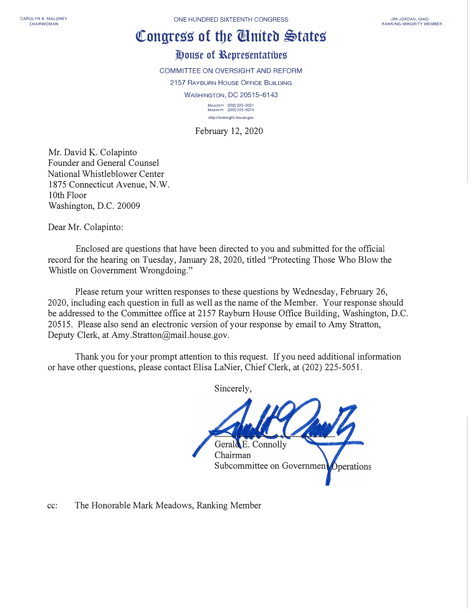## **�ongress of tbe llniteb �tates**

## **Jt,ouse of l\epresentattbes**

COMMITTEE ON OVERSIGHT AND REFORM

2157 RAYBURN HOUSE OFFICE BUILDING

WASHINGTON, DC 20515-6143

**MAJORITY {202) 225-5051 MINORITY (202) 225-507 4 httpJ/oversight.house.gov** 

February 12, 2020

Mr. David K. Colapinto Founder and General Counsel National Whistleblower Center 1875 Connecticut Avenue, N.W. 10th Floor Washington, D.C. 20009

Dear Mr. Colapinto:

Enclosed are questions that have been directed to you and submitted for the official record for the hearing on Tuesday, January 28, 2020, titled "Protecting Those Who Blow the Whistle on Government Wrongdoing."

Please return your written responses to these questions by Wednesday, February 26, 2020, including each question in full as well as the name of the Member. Your response should be addressed to the Committee office at 2157 Rayburn House Office Building, Washington, D.C. 20515. Please also send an electronic version of your response by email to Amy Stratton, Deputy Clerk, at Amy.Stratton@mail.house.gov.

Thank you for your prompt attention to this request. If you need additional information or have other questions, please contact Elisa LaNier, Chief Clerk, at (202) 225-5051.

Sincerely,

Gerald E. Connolly Chairman Subcommittee on Government Operations

cc: The Honorable Mark Meadows, Ranking Member